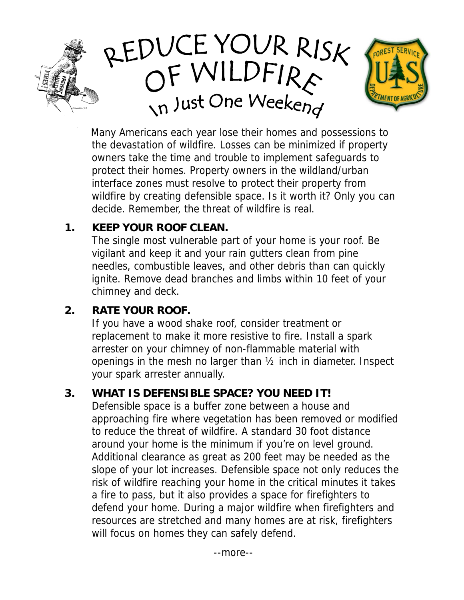



Many Americans each year lose their homes and possessions to the devastation of wildfire. Losses can be minimized if property owners take the time and trouble to implement safeguards to protect their homes. Property owners in the wildland/urban interface zones must resolve to protect their property from wildfire by creating defensible space. Is it worth it? Only you can decide. Remember, the threat of wildfire is real.

#### **1. KEEP YOUR ROOF CLEAN.**

The single most vulnerable part of your home is your roof. Be vigilant and keep it and your rain gutters clean from pine needles, combustible leaves, and other debris than can quickly ignite. Remove dead branches and limbs within 10 feet of your chimney and deck.

### **2. RATE YOUR ROOF.**

If you have a wood shake roof, consider treatment or replacement to make it more resistive to fire. Install a spark arrester on your chimney of non-flammable material with openings in the mesh no larger than ½ inch in diameter. Inspect your spark arrester annually.

### **3. WHAT IS DEFENSIBLE SPACE? YOU NEED IT!**

Defensible space is a buffer zone between a house and approaching fire where vegetation has been removed or modified to reduce the threat of wildfire. A standard 30 foot distance around your home is the minimum if you're on level ground. Additional clearance as great as 200 feet may be needed as the slope of your lot increases. Defensible space not only reduces the risk of wildfire reaching your home in the critical minutes it takes a fire to pass, but it also provides a space for firefighters to defend your home. During a major wildfire when firefighters and resources are stretched and many homes are at risk, firefighters will focus on homes they can safely defend.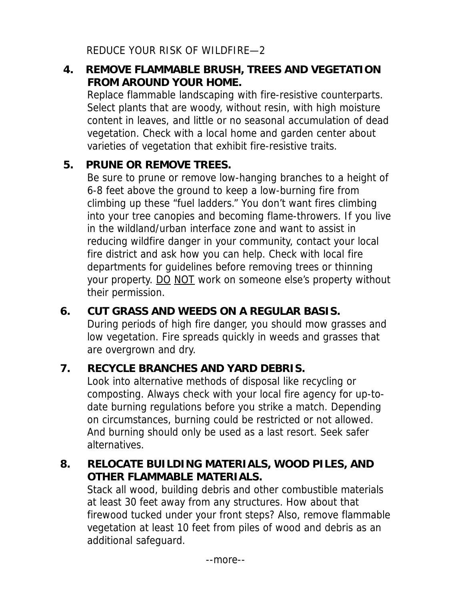REDUCE YOUR RISK OF WILDFIRE—2

# **4. REMOVE FLAMMABLE BRUSH, TREES AND VEGETATION FROM AROUND YOUR HOME.**

Replace flammable landscaping with fire-resistive counterparts. Select plants that are woody, without resin, with high moisture content in leaves, and little or no seasonal accumulation of dead vegetation. Check with a local home and garden center about varieties of vegetation that exhibit fire-resistive traits.

### **5. PRUNE OR REMOVE TREES.**

Be sure to prune or remove low-hanging branches to a height of 6-8 feet above the ground to keep a low-burning fire from climbing up these "fuel ladders." You don't want fires climbing into your tree canopies and becoming flame-throwers. If you live in the wildland/urban interface zone and want to assist in reducing wildfire danger in your community, contact your local fire district and ask how you can help. Check with local fire departments for guidelines before removing trees or thinning your property. DO NOT work on someone else's property without their permission.

# **6. CUT GRASS AND WEEDS ON A REGULAR BASIS.**

During periods of high fire danger, you should mow grasses and low vegetation. Fire spreads quickly in weeds and grasses that are overgrown and dry.

# **7. RECYCLE BRANCHES AND YARD DEBRIS.**

Look into alternative methods of disposal like recycling or composting. Always check with your local fire agency for up-todate burning regulations before you strike a match. Depending on circumstances, burning could be restricted or not allowed. And burning should only be used as a last resort. Seek safer alternatives.

### **8. RELOCATE BUILDING MATERIALS, WOOD PILES, AND OTHER FLAMMABLE MATERIALS.**

Stack all wood, building debris and other combustible materials at least 30 feet away from any structures. How about that firewood tucked under your front steps? Also, remove flammable vegetation at least 10 feet from piles of wood and debris as an additional safeguard.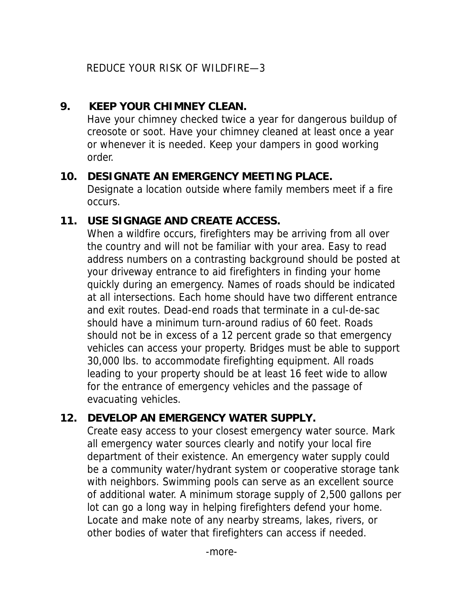REDUCE YOUR RISK OF WILDFIRE—3

#### **9. KEEP YOUR CHIMNEY CLEAN.**

Have your chimney checked twice a year for dangerous buildup of creosote or soot. Have your chimney cleaned at least once a year or whenever it is needed. Keep your dampers in good working order.

#### **10. DESIGNATE AN EMERGENCY MEETING PLACE.**

Designate a location outside where family members meet if a fire occurs.

## **11. USE SIGNAGE AND CREATE ACCESS.**

When a wildfire occurs, firefighters may be arriving from all over the country and will not be familiar with your area. Easy to read address numbers on a contrasting background should be posted at your driveway entrance to aid firefighters in finding your home quickly during an emergency. Names of roads should be indicated at all intersections. Each home should have two different entrance and exit routes. Dead-end roads that terminate in a cul-de-sac should have a minimum turn-around radius of 60 feet. Roads should not be in excess of a 12 percent grade so that emergency vehicles can access your property. Bridges must be able to support 30,000 lbs. to accommodate firefighting equipment. All roads leading to your property should be at least 16 feet wide to allow for the entrance of emergency vehicles and the passage of evacuating vehicles.

# **12. DEVELOP AN EMERGENCY WATER SUPPLY.**

Create easy access to your closest emergency water source. Mark all emergency water sources clearly and notify your local fire department of their existence. An emergency water supply could be a community water/hydrant system or cooperative storage tank with neighbors. Swimming pools can serve as an excellent source of additional water. A minimum storage supply of 2,500 gallons per lot can go a long way in helping firefighters defend your home. Locate and make note of any nearby streams, lakes, rivers, or other bodies of water that firefighters can access if needed.